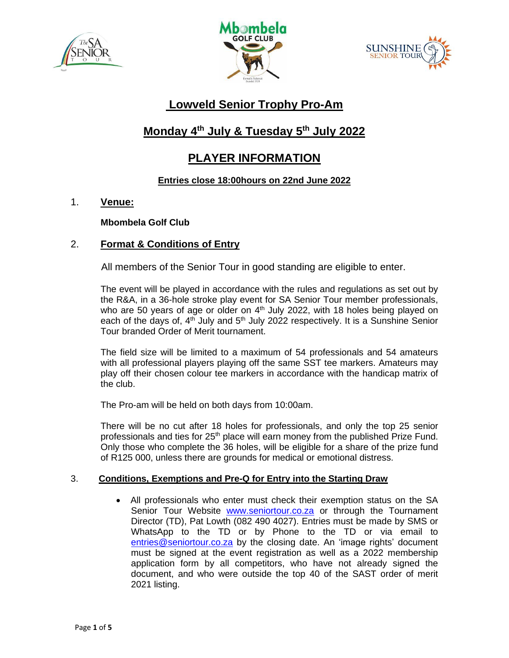





# **Lowveld Senior Trophy Pro-Am**

# **Monday 4 th July & Tuesday 5 th July 2022**

# **PLAYER INFORMATION**

# **Entries close 18:00hours on 22nd June 2022**

1. **Venue:**

**Mbombela Golf Club**

# 2. **Format & Conditions of Entry**

All members of the Senior Tour in good standing are eligible to enter.

The event will be played in accordance with the rules and regulations as set out by the R&A, in a 36-hole stroke play event for SA Senior Tour member professionals, who are 50 years of age or older on 4<sup>th</sup> July 2022, with 18 holes being played on each of the days of,  $4<sup>th</sup>$  July and  $5<sup>th</sup>$  July 2022 respectively. It is a Sunshine Senior Tour branded Order of Merit tournament.

The field size will be limited to a maximum of 54 professionals and 54 amateurs with all professional players playing off the same SST tee markers. Amateurs may play off their chosen colour tee markers in accordance with the handicap matrix of the club.

The Pro-am will be held on both days from 10:00am.

There will be no cut after 18 holes for professionals, and only the top 25 senior professionals and ties for 25<sup>th</sup> place will earn money from the published Prize Fund. Only those who complete the 36 holes, will be eligible for a share of the prize fund of R125 000, unless there are grounds for medical or emotional distress.

# 3. **Conditions, Exemptions and Pre-Q for Entry into the Starting Draw**

• All professionals who enter must check their exemption status on the SA Senior Tour Website [www.seniortour.co.za](http://www.seniortour.co.za/) or through the Tournament Director (TD), Pat Lowth (082 490 4027). Entries must be made by SMS or WhatsApp to the TD or by Phone to the TD or via email to [entries@seniortour.co.za](mailto:entries@seniortour.co.za) by the closing date. An 'image rights' document must be signed at the event registration as well as a 2022 membership application form by all competitors, who have not already signed the document, and who were outside the top 40 of the SAST order of merit 2021 listing.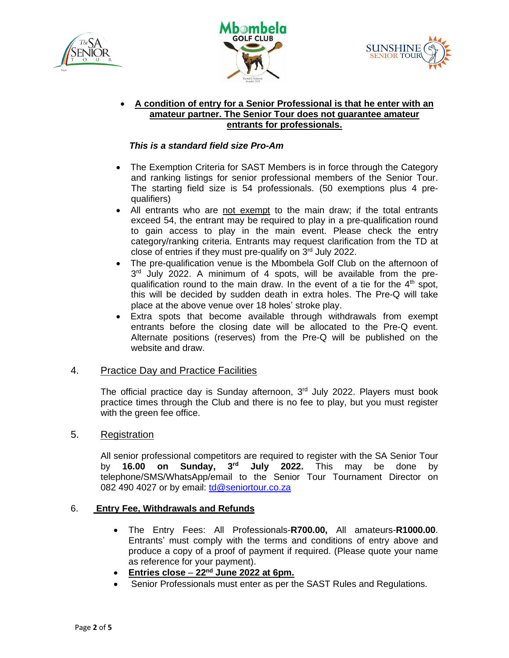





#### • **A condition of entry for a Senior Professional is that he enter with an amateur partner. The Senior Tour does not guarantee amateur entrants for professionals.**

### *This is a standard field size Pro-Am*

- The Exemption Criteria for SAST Members is in force through the Category and ranking listings for senior professional members of the Senior Tour. The starting field size is 54 professionals. (50 exemptions plus 4 prequalifiers)
- All entrants who are not exempt to the main draw; if the total entrants exceed 54, the entrant may be required to play in a pre-qualification round to gain access to play in the main event. Please check the entry category/ranking criteria. Entrants may request clarification from the TD at close of entries if they must pre-qualify on  $3<sup>rd</sup>$  July 2022.
- The pre-qualification venue is the Mbombela Golf Club on the afternoon of 3<sup>rd</sup> July 2022. A minimum of 4 spots, will be available from the prequalification round to the main draw. In the event of a tie for the  $4<sup>th</sup>$  spot, this will be decided by sudden death in extra holes. The Pre-Q will take place at the above venue over 18 holes' stroke play.
- Extra spots that become available through withdrawals from exempt entrants before the closing date will be allocated to the Pre-Q event. Alternate positions (reserves) from the Pre-Q will be published on the website and draw.

#### 4. Practice Day and Practice Facilities

The official practice day is Sunday afternoon,  $3<sup>rd</sup>$  July 2022. Players must book practice times through the Club and there is no fee to play, but you must register with the green fee office.

#### 5. Registration

All senior professional competitors are required to register with the SA Senior Tour by **16.00 on Sunday, 3 rd July 2022.** This may be done by telephone/SMS/WhatsApp/email to the Senior Tour Tournament Director on 082 490 4027 or by email: [td@seniortour.co.za](mailto:td@seniortour.co.za)

#### 6. **Entry Fee, Withdrawals and Refunds**

- The Entry Fees: All Professionals-**R700.00,** All amateurs-**R1000.00**. Entrants' must comply with the terms and conditions of entry above and produce a copy of a proof of payment if required. (Please quote your name as reference for your payment).
- **Entries close 22nd June 2022 at 6pm.**
- Senior Professionals must enter as per the SAST Rules and Regulations.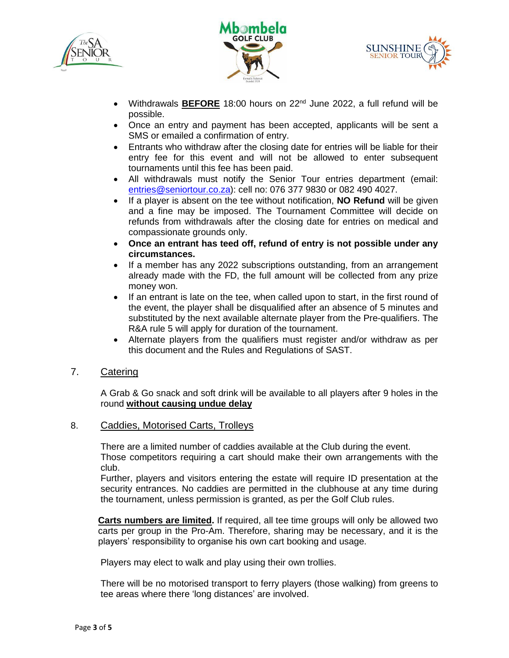





- Withdrawals **BEFORE** 18:00 hours on 22<sup>nd</sup> June 2022, a full refund will be possible.
- Once an entry and payment has been accepted, applicants will be sent a SMS or emailed a confirmation of entry.
- Entrants who withdraw after the closing date for entries will be liable for their entry fee for this event and will not be allowed to enter subsequent tournaments until this fee has been paid.
- All withdrawals must notify the Senior Tour entries department (email: [entries@seniortour.co.za\)](mailto:entries@seniortour.co.za): cell no: 076 377 9830 or 082 490 4027.
- If a player is absent on the tee without notification, **NO Refund** will be given and a fine may be imposed. The Tournament Committee will decide on refunds from withdrawals after the closing date for entries on medical and compassionate grounds only.
- **Once an entrant has teed off, refund of entry is not possible under any circumstances.**
- If a member has any 2022 subscriptions outstanding, from an arrangement already made with the FD, the full amount will be collected from any prize money won.
- If an entrant is late on the tee, when called upon to start, in the first round of the event, the player shall be disqualified after an absence of 5 minutes and substituted by the next available alternate player from the Pre-qualifiers. The R&A rule 5 will apply for duration of the tournament.
- Alternate players from the qualifiers must register and/or withdraw as per this document and the Rules and Regulations of SAST.

# 7. Catering

A Grab & Go snack and soft drink will be available to all players after 9 holes in the round **without causing undue delay**

# 8. Caddies, Motorised Carts, Trolleys

There are a limited number of caddies available at the Club during the event. Those competitors requiring a cart should make their own arrangements with the club.

Further, players and visitors entering the estate will require ID presentation at the security entrances. No caddies are permitted in the clubhouse at any time during the tournament, unless permission is granted, as per the Golf Club rules.

**Carts numbers are limited.** If required, all tee time groups will only be allowed two carts per group in the Pro-Am. Therefore, sharing may be necessary, and it is the players' responsibility to organise his own cart booking and usage.

Players may elect to walk and play using their own trollies.

There will be no motorised transport to ferry players (those walking) from greens to tee areas where there 'long distances' are involved.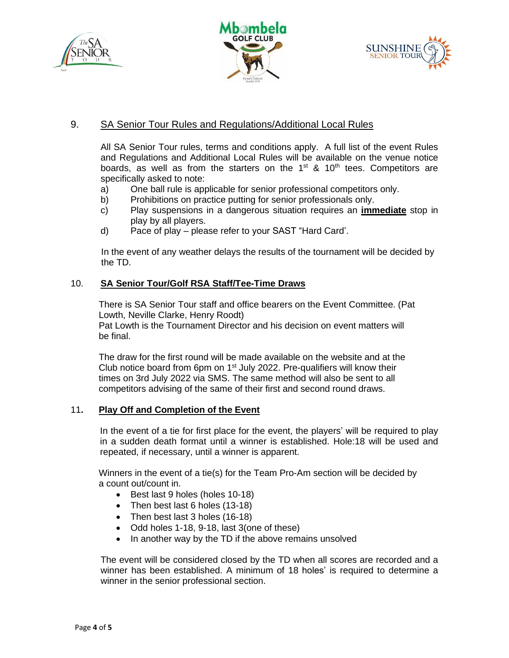





# 9. SA Senior Tour Rules and Regulations/Additional Local Rules

All SA Senior Tour rules, terms and conditions apply. A full list of the event Rules and Regulations and Additional Local Rules will be available on the venue notice boards, as well as from the starters on the  $1<sup>st</sup>$  &  $10<sup>th</sup>$  tees. Competitors are specifically asked to note:

- a) One ball rule is applicable for senior professional competitors only.
- b) Prohibitions on practice putting for senior professionals only.
- c) Play suspensions in a dangerous situation requires an **immediate** stop in play by all players.
- d) Pace of play please refer to your SAST "Hard Card'.

 In the event of any weather delays the results of the tournament will be decided by the TD.

### 10. **SA Senior Tour/Golf RSA Staff/Tee-Time Draws**

 There is SA Senior Tour staff and office bearers on the Event Committee. (Pat Lowth, Neville Clarke, Henry Roodt)

 Pat Lowth is the Tournament Director and his decision on event matters will be final.

 The draw for the first round will be made available on the website and at the Club notice board from 6pm on  $1<sup>st</sup>$  July 2022. Pre-qualifiers will know their times on 3rd July 2022 via SMS. The same method will also be sent to all competitors advising of the same of their first and second round draws.

#### 11**. Play Off and Completion of the Event**

In the event of a tie for first place for the event, the players' will be required to play in a sudden death format until a winner is established. Hole:18 will be used and repeated, if necessary, until a winner is apparent.

 Winners in the event of a tie(s) for the Team Pro-Am section will be decided by a count out/count in.

- Best last 9 holes (holes 10-18)
- Then best last 6 holes (13-18)
- Then best last 3 holes (16-18)
- Odd holes 1-18, 9-18, last 3(one of these)
- In another way by the TD if the above remains unsolved

The event will be considered closed by the TD when all scores are recorded and a winner has been established. A minimum of 18 holes' is required to determine a winner in the senior professional section.